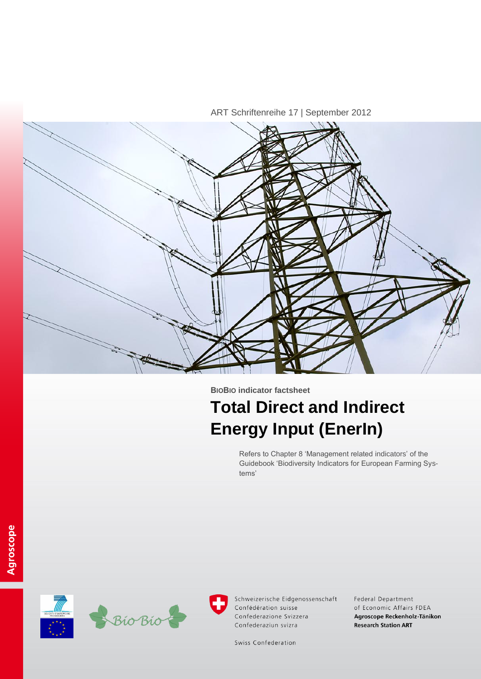

**BIOBIO indicator factsheet**

# **Total Direct and Indirect Energy Input (EnerIn)**

Refers to Chapter 8 'Management related indicators' of the Guidebook 'Biodiversity Indicators for European Farming Systems'





Schweizerische Eidgenossenschaft Confédération suisse Confederazione Svizzera Confederaziun svizra

Federal Department of Economic Affairs FDEA Agroscope Reckenholz-Tänikon **Research Station ART** 

Swiss Confederation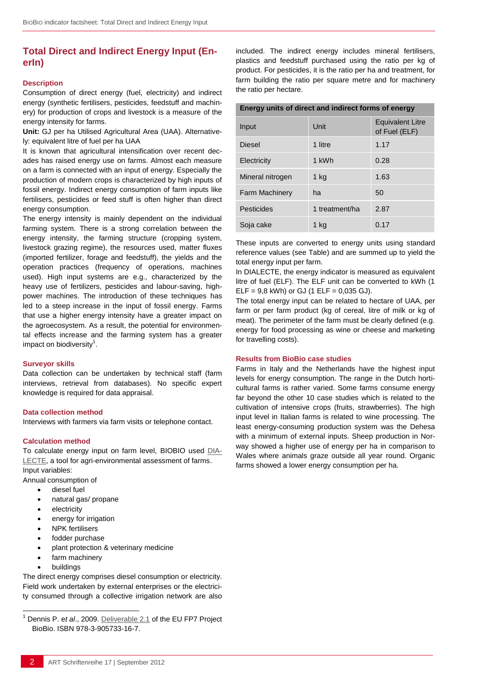# **Total Direct and Indirect Energy Input (EnerIn)**

# **Description**

Consumption of direct energy (fuel, electricity) and indirect energy (synthetic fertilisers, pesticides, feedstuff and machinery) for production of crops and livestock is a measure of the energy intensity for farms.

**Unit:** GJ per ha Utilised Agricultural Area (UAA). Alternatively: equivalent litre of fuel per ha UAA

It is known that agricultural intensification over recent decades has raised energy use on farms. Almost each measure on a farm is connected with an input of energy. Especially the production of modern crops is characterized by high inputs of fossil energy. Indirect energy consumption of farm inputs like fertilisers, pesticides or feed stuff is often higher than direct energy consumption.

The energy intensity is mainly dependent on the individual farming system. There is a strong correlation between the energy intensity, the farming structure (cropping system, livestock grazing regime), the resources used, matter fluxes (imported fertilizer, forage and feedstuff), the yields and the operation practices (frequency of operations, machines used). High input systems are e.g., characterized by the heavy use of fertilizers, pesticides and labour-saving, highpower machines. The introduction of these techniques has led to a steep increase in the input of fossil energy. Farms that use a higher energy intensity have a greater impact on the agroecosystem. As a result, the potential for environmental effects increase and the farming system has a greater impact on biodiversity<sup>1</sup>.

#### **Surveyor skills**

Data collection can be undertaken by technical staff (farm interviews, retrieval from databases). No specific expert knowledge is required for data appraisal.

## **Data collection method**

Interviews with farmers via farm visits or telephone contact.

### **Calculation method**

To calculate energy input on farm level, BIOBIO used [DIA-](http://dialecte.solagro.org/)[LECTE,](http://dialecte.solagro.org/) a tool for agri-environmental assessment of farms. Input variables:

Annual consumption of

- diesel fuel
- natural gas/ propane
- electricity
- energy for irrigation
- NPK fertilisers
- fodder purchase
- plant protection & veterinary medicine
- farm machinery
- buildings

l

The direct energy comprises diesel consumption or electricity. Field work undertaken by external enterprises or the electricity consumed through a collective irrigation network are also included. The indirect energy includes mineral fertilisers, plastics and feedstuff purchased using the ratio per kg of product. For pesticides, it is the ratio per ha and treatment, for farm building the ratio per square metre and for machinery the ratio per hectare.

### **Energy units of direct and indirect forms of energy**

| Input                 | Unit           | <b>Equivalent Litre</b><br>of Fuel (ELF) |
|-----------------------|----------------|------------------------------------------|
| Diesel                | 1 litre        | 1.17                                     |
| Electricity           | 1 kWh          | 0.28                                     |
| Mineral nitrogen      | 1 kg           | 1.63                                     |
| <b>Farm Machinery</b> | ha             | 50                                       |
| Pesticides            | 1 treatment/ha | 2.87                                     |
| Soja cake             | 1 kg           | 0.17                                     |

These inputs are converted to energy units using standard reference values (see Table) and are summed up to yield the total energy input per farm.

In DIALECTE, the energy indicator is measured as equivalent litre of fuel (ELF). The ELF unit can be converted to kWh (1  $ELF = 9.8$  kWh) or GJ (1 ELF = 0,035 GJ).

The total energy input can be related to hectare of UAA, per farm or per farm product (kg of cereal, litre of milk or kg of meat). The perimeter of the farm must be clearly defined (e.g. energy for food processing as wine or cheese and marketing for travelling costs).

### **Results from BioBio case studies**

Farms in Italy and the Netherlands have the highest input levels for energy consumption. The range in the Dutch horticultural farms is rather varied. Some farms consume energy far beyond the other 10 case studies which is related to the cultivation of intensive crops (fruits, strawberries). The high input level in Italian farms is related to wine processing. The least energy-consuming production system was the Dehesa with a minimum of external inputs. Sheep production in Norway showed a higher use of energy per ha in comparison to Wales where animals graze outside all year round. Organic farms showed a lower energy consumption per ha.

<sup>1</sup> Dennis P. e*t al*., 2009. [Deliverable 2.1](http://www.biobio-indicator.org/deliverables/D21.pdf) of the EU FP7 Project BioBio. ISBN 978-3-905733-16-7.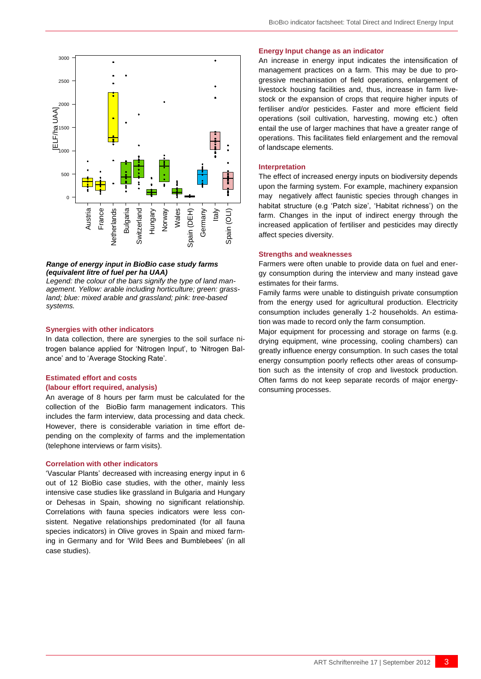



# *Range of energy input in BioBio case study farms (equivalent litre of fuel per ha UAA)*

*Legend: the colour of the bars signify the type of land management. Yellow: arable including horticulture; green: grassland; blue: mixed arable and grassland; pink: tree-based* 

## **Synergies with other indicators**

In data collection, there are synergies to the soil surface nitrogen balance applied for 'Nitrogen Input', to 'Nitrogen Balance' and to 'Average Stocking Rate'.

# **Estimated effort and costs**

# **(labour effort required, analysis)**

An average of 8 hours per farm must be calculated for the collection of the BioBio farm management indicators. This includes the farm interview, data processing and data check. However, there is considerable variation in time effort depending on the complexity of farms and the implementation (telephone interviews or farm visits).

#### **Correlation with other indicators**

'Vascular Plants' decreased with increasing energy input in 6 out of 12 BioBio case studies, with the other, mainly less intensive case studies like grassland in Bulgaria and Hungary or Dehesas in Spain, showing no significant relationship. Correlations with fauna species indicators were less consistent. Negative relationships predominated (for all fauna species indicators) in Olive groves in Spain and mixed farming in Germany and for 'Wild Bees and Bumblebees' (in all case studies).

#### **Energy Input change as an indicator**

An increase in energy input indicates the intensification of management practices on a farm. This may be due to progressive mechanisation of field operations, enlargement of livestock housing facilities and, thus, increase in farm livestock or the expansion of crops that require higher inputs of fertiliser and/or pesticides. Faster and more efficient field operations (soil cultivation, harvesting, mowing etc.) often entail the use of larger machines that have a greater range of operations. This facilitates field enlargement and the removal of landscape elements.

#### **Interpretation**

The effect of increased energy inputs on biodiversity depends upon the farming system. For example, machinery expansion may negatively affect faunistic species through changes in habitat structure (e.g 'Patch size', 'Habitat richness') on the farm. Changes in the input of indirect energy through the increased application of fertiliser and pesticides may directly affect species diversity.

#### **Strengths and weaknesses**

Farmers were often unable to provide data on fuel and energy consumption during the interview and many instead gave estimates for their farms.

Family farms were unable to distinguish private consumption from the energy used for agricultural production. Electricity consumption includes generally 1-2 households. An estimation was made to record only the farm consumption.

Major equipment for processing and storage on farms (e.g. drying equipment, wine processing, cooling chambers) can greatly influence energy consumption. In such cases the total energy consumption poorly reflects other areas of consumption such as the intensity of crop and livestock production. Often farms do not keep separate records of major energyconsuming processes.